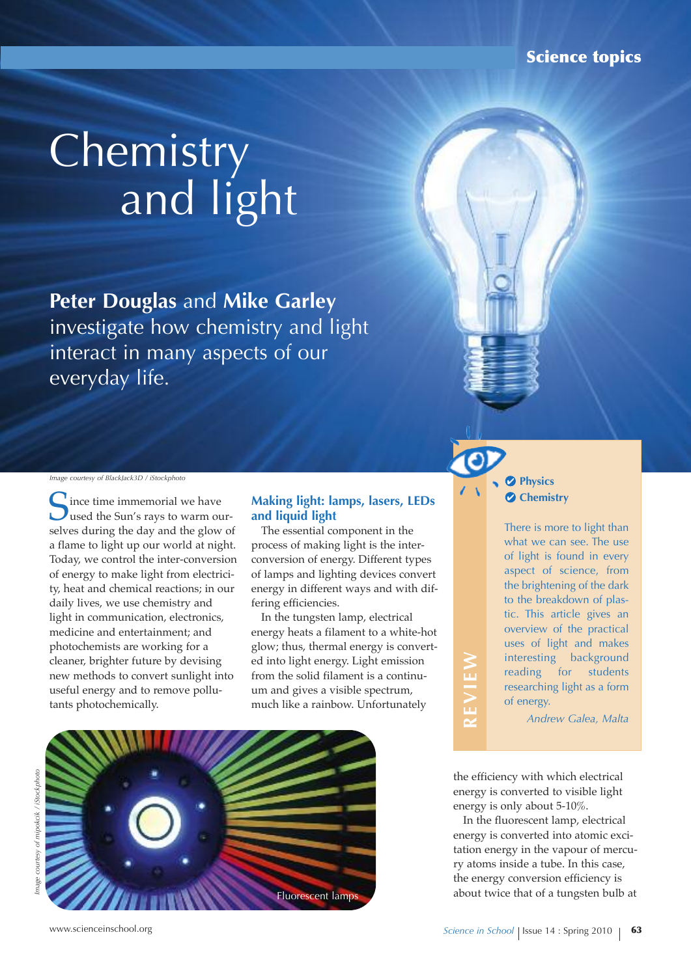# **Chemistry** and light

**Peter Douglas** and Mike Garley investigate how chemistry and light interact in many aspects of our everyday life.

*Image courtesy of BlackJack3D / iStockphoto*

Since time immemorial we have<br>used the Sun's rays to warm our-<br>selves during the day and the clays of selves during the day and the glow of a flame to light up our world at night. Today, we control the inter-conversion of energy to make light from electricity, heat and chemical reactions; in our daily lives, we use chemistry and light in communication, electronics, medicine and entertainment; and photochemists are working for a cleaner, brighter future by devising new methods to convert sunlight into useful energy and to remove pollutants photochemically.

### **Making light: lamps, lasers, LEDs and liquid light**

The essential component in the process of making light is the interconversion of energy. Different types of lamps and lighting devices convert energy in different ways and with differing efficiencies.

In the tungsten lamp, electrical energy heats a filament to a white-hot glow; thus, thermal energy is converted into light energy. Light emission from the solid filament is a continuum and gives a visible spectrum, much like a rainbow. Unfortunately





There is more to light than what we can see. The use of light is found in every aspect of science, from the brightening of the dark to the breakdown of plastic. This article gives an overview of the practical uses of light and makes interesting background reading for students researching light as a form of energy.

*Andrew Galea, Malta* **R**

the efficiency with which electrical energy is converted to visible light energy is only about 5-10%.

**EvIE**

**W**

In the fluorescent lamp, electrical energy is converted into atomic excitation energy in the vapour of mercury atoms inside a tube. In this case, the energy conversion efficiency is about twice that of a tungsten bulb at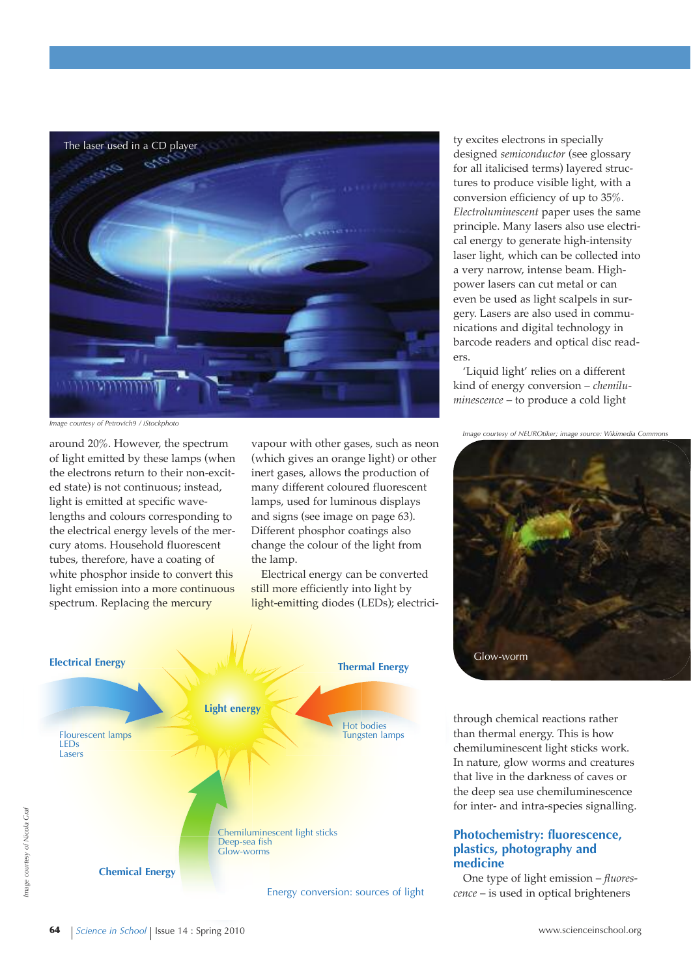

*Image courtesy of Petrovich9 / iStockphoto*

around 20%. However, the spectrum of light emitted by these lamps (when the electrons return to their non-excited state) is not continuous; instead, light is emitted at specific wavelengths and colours corresponding to the electrical energy levels of the mercury atoms. Household fluorescent tubes, therefore, have a coating of white phosphor inside to convert this light emission into a more continuous spectrum. Replacing the mercury

vapour with other gases, such as neon (which gives an orange light) or other inert gases, allows the production of many different coloured fluorescent lamps, used for luminous displays and signs (see image on page 63). Different phosphor coatings also change the colour of the light from the lamp.

Electrical energy can be converted still more efficiently into light by light-emitting diodes (LEDs); electrici-



ty excites electrons in specially designed *semiconductor* (see glossary for all italicised terms) layered structures to produce visible light, with a conversion efficiency of up to 35%. *Electroluminescent* paper uses the same principle. Many lasers also use electrical energy to generate high-intensity laser light, which can be collected into a very narrow, intense beam. Highpower lasers can cut metal or can even be used as light scalpels in surgery. Lasers are also used in communications and digital technology in barcode readers and optical disc readers.

'Liquid light' relies on a different kind of energy conversion – *chemiluminescence –* to produce a cold light

*Image courtesy of NEUROtiker; image source: Wikimedia Commons*



through chemical reactions rather than thermal energy. This is how chemiluminescent light sticks work. In nature, glow worms and creatures that live in the darkness of caves or the deep sea use chemiluminescence for inter- and intra-species signalling.

#### **Photochemistry: fluorescence, plastics, photography and medicine**

One type of light emission – *fluorescence* – is used in optical brighteners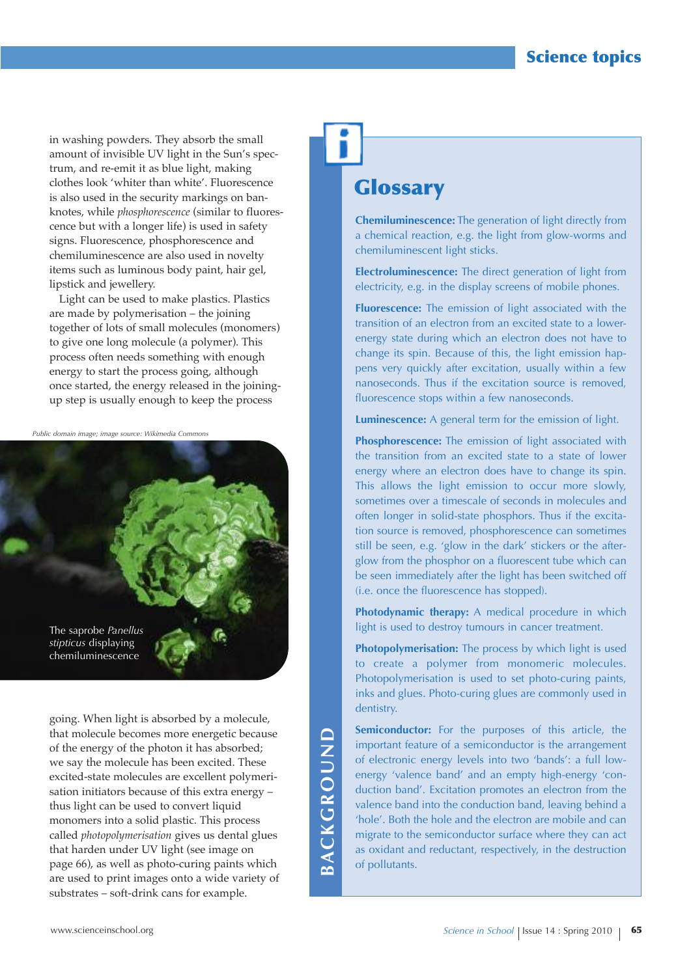in washing powders. They absorb the small amount of invisible UV light in the Sun's spectrum, and re-emit it as blue light, making clothes look 'whiter than white'. Fluorescence is also used in the security markings on banknotes, while *phosphorescence* (similar to fluorescence but with a longer life) is used in safety signs. Fluorescence, phosphorescence and chemiluminescence are also used in novelty items such as luminous body paint, hair gel, lipstick and jewellery.

Light can be used to make plastics. Plastics are made by polymerisation – the joining together of lots of small molecules (monomers) to give one long molecule (a polymer). This process often needs something with enough energy to start the process going, although once started, the energy released in the joiningup step is usually enough to keep the process

*Public domain image; image source: Wikimedia Commons*



going. When light is absorbed by a molecule, that molecule becomes more energetic because of the energy of the photon it has absorbed; we say the molecule has been excited. These excited-state molecules are excellent polymerisation initiators because of this extra energy – thus light can be used to convert liquid monomers into a solid plastic. This process called *photopolymerisation* gives us dental glues that harden under UV light (see image on page 66), as well as photo-curing paints which are used to print images onto a wide variety of substrates – soft-drink cans for example.

### **A C k G R O u n d**

## **Glossary**

**Chemiluminescence:** The generation of light directly from a chemical reaction, e.g. the light from glow-worms and chemiluminescent light sticks.

**Electroluminescence:** The direct generation of light from electricity, e.g. in the display screens of mobile phones.

**Fluorescence:** The emission of light associated with the transition of an electron from an excited state to a lowerenergy state during which an electron does not have to change its spin. Because of this, the light emission happens very quickly after excitation, usually within a few nanoseconds. Thus if the excitation source is removed, fluorescence stops within a few nanoseconds.

**Luminescence:** A general term for the emission of light.

**Phosphorescence:** The emission of light associated with the transition from an excited state to a state of lower energy where an electron does have to change its spin. This allows the light emission to occur more slowly, sometimes over a timescale of seconds in molecules and often longer in solid-state phosphors. Thus if the excitation source is removed, phosphorescence can sometimes still be seen, e.g. 'glow in the dark' stickers or the afterglow from the phosphor on a fluorescent tube which can be seen immediately after the light has been switched off (i.e. once the fluorescence has stopped).

**Photodynamic therapy:** A medical procedure in which light is used to destroy tumours in cancer treatment.

**Photopolymerisation:** The process by which light is used to create a polymer from monomeric molecules. Photopolymerisation is used to set photo-curing paints, inks and glues. Photo-curing glues are commonly used in dentistry.

**Semiconductor:** For the purposes of this article, the important feature of a semiconductor is the arrangement of electronic energy levels into two 'bands': a full lowenergy 'valence band' and an empty high-energy 'conduction band'. Excitation promotes an electron from the valence band into the conduction band, leaving behind a 'hole'. Both the hole and the electron are mobile and can migrate to the semiconductor surface where they can act as oxidant and reductant, respectively, in the destruction of pollutants.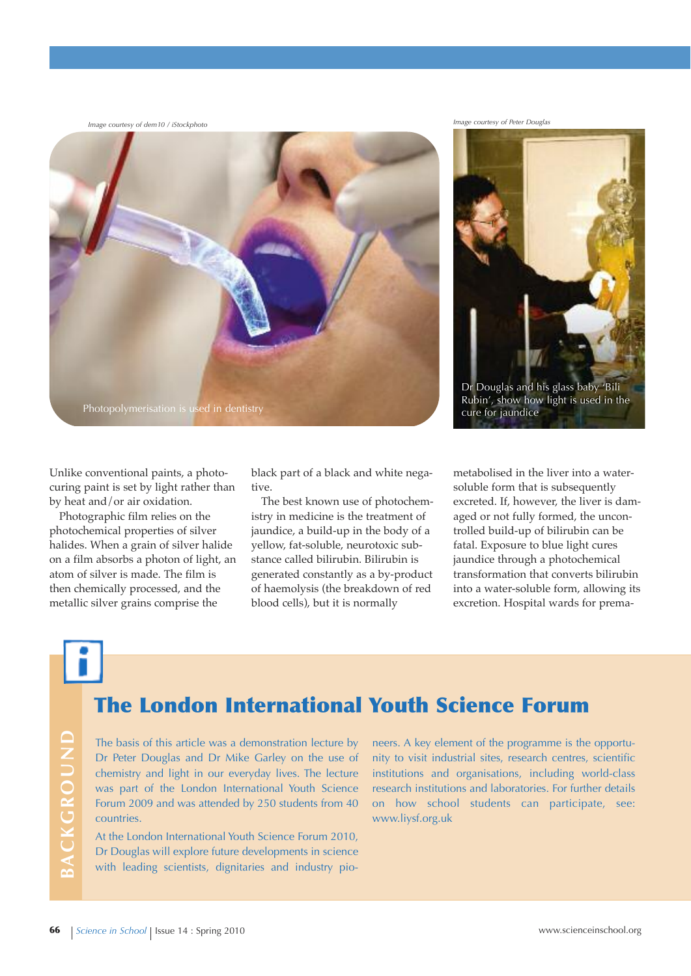*Image courtesy of Peter Douglas Image courtesy of dem10 / iStockphoto*



Unlike conventional paints, a photocuring paint is set by light rather than by heat and/or air oxidation.

Photographic film relies on the photochemical properties of silver halides. When a grain of silver halide on a film absorbs a photon of light, an atom of silver is made. The film is then chemically processed, and the metallic silver grains comprise the

black part of a black and white negative.

The best known use of photochemistry in medicine is the treatment of jaundice, a build-up in the body of a yellow, fat-soluble, neurotoxic substance called bilirubin. Bilirubin is generated constantly as a by-product of haemolysis (the breakdown of red blood cells), but it is normally



metabolised in the liver into a watersoluble form that is subsequently excreted. If, however, the liver is damaged or not fully formed, the uncontrolled build-up of bilirubin can be fatal. Exposure to blue light cures jaundice through a photochemical transformation that converts bilirubin into a water-soluble form, allowing its excretion. Hospital wards for prema-

**B**

**C k G R O u n d**

### **The London International Youth Science Forum**

The basis of this article was a demonstration lecture by Dr Peter Douglas and Dr Mike Garley on the use of chemistry and light in our everyday lives. The lecture was part of the London International Youth Science Forum 2009 and was attended by 250 students from 40 countries.

At the London International Youth Science Forum 2010, Dr Douglas will explore future developments in science with leading scientists, dignitaries and industry pio-

neers. A key element of the programme is the opportunity to visit industrial sites, research centres, scientific institutions and organisations, including world-class research institutions and laboratories. For further details on how school students can participate, see: www.liysf.org.uk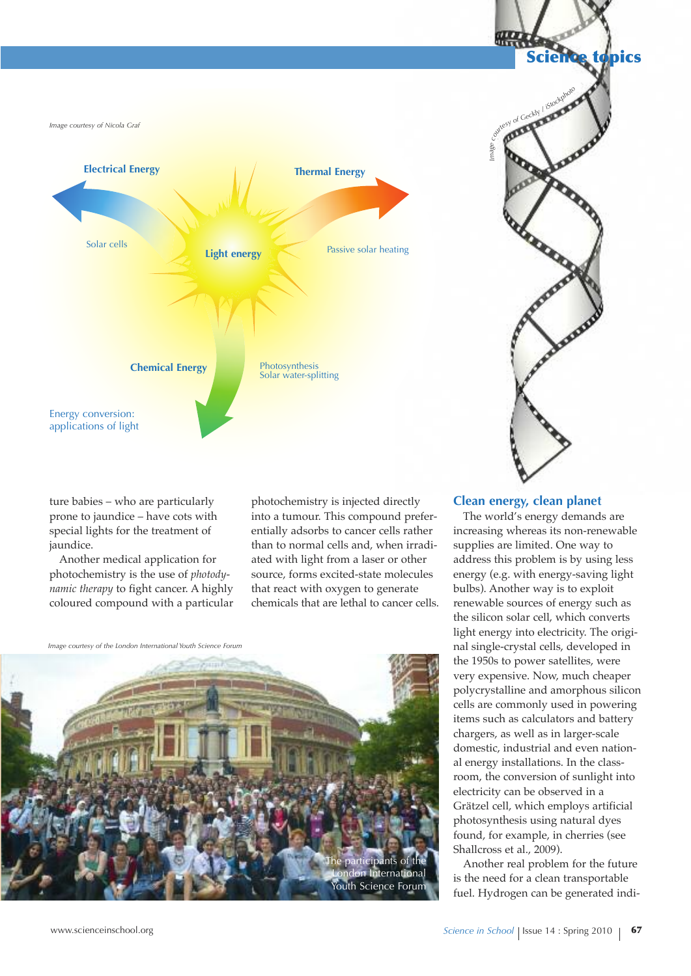

ture babies – who are particularly prone to jaundice – have cots with special lights for the treatment of jaundice.

Another medical application for photochemistry is the use of *photodynamic therapy* to fight cancer. A highly coloured compound with a particular photochemistry is injected directly into a tumour. This compound preferentially adsorbs to cancer cells rather than to normal cells and, when irradiated with light from a laser or other source, forms excited-state molecules that react with oxygen to generate chemicals that are lethal to cancer cells.

*Image courtesy of the London International Youth Science Forum*





### **Clean energy, clean planet**

The world's energy demands are increasing whereas its non-renewable supplies are limited. One way to address this problem is by using less energy (e.g. with energy-saving light bulbs). Another way is to exploit renewable sources of energy such as the silicon solar cell, which converts light energy into electricity. The original single-crystal cells, developed in the 1950s to power satellites, were very expensive. Now, much cheaper polycrystalline and amorphous silicon cells are commonly used in powering items such as calculators and battery chargers, as well as in larger-scale domestic, industrial and even national energy installations. In the classroom, the conversion of sunlight into electricity can be observed in a Grätzel cell, which employs artificial photosynthesis using natural dyes found, for example, in cherries (see Shallcross et al., 2009).

Another real problem for the future is the need for a clean transportable fuel. Hydrogen can be generated indi-